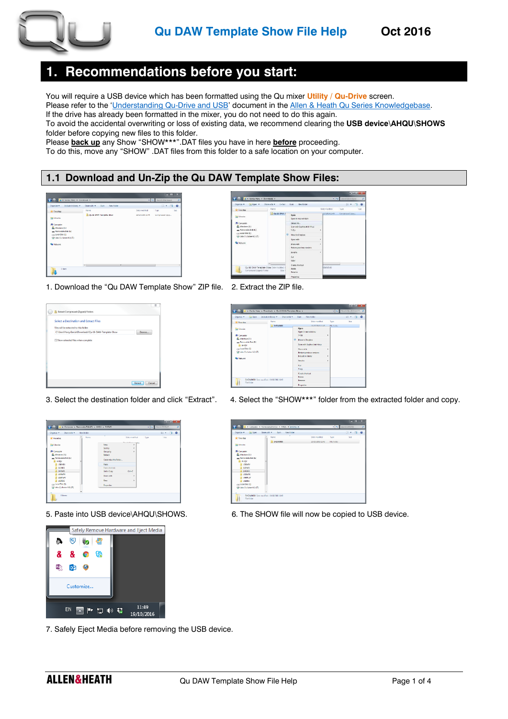

# **1. Recommendations before you start:**

You will require a USB device which has been formatted using the Qu mixer **Utility / Qu-Drive** screen.

Please refer to the '[Understanding Qu-Drive and USB](http://support.allen-heath.com/Knowledgebase/Article/View/774/201/understanding-qu-drive-and-usb-devices)' document in the [Allen & Heath Qu Series Knowledgebase.](http://support.allen-heath.com/Knowledgebase/List/Index/201/qu-series) If the drive has already been formatted in the mixer, you do not need to do this again.

To avoid the accidental overwriting or loss of existing data, we recommend clearing the **USB device\AHQU\SHOWS** folder before copying new files to this folder.

Please **back up** any Show "SHOW\*\*\*".DAT files you have in here **before** proceeding.

To do this, move any "SHOW" .DAT files from this folder to a safe location on your computer.

## **1.1 Download and Un-Zip the Qu DAW Template Show Files:**



| Cui Open =<br>Organize =                          | E-mail<br>Share with # |         | <b>Bum</b><br>New folder               |    |               | 三 • 门              | $\cdot$ |
|---------------------------------------------------|------------------------|---------|----------------------------------------|----|---------------|--------------------|---------|
| <b>Sir Favorine</b>                               | Name                   |         |                                        |    | Uste modified | <b>Type</b>        | Sue     |
| il Libraries                                      | II Qu 15 DAW 1         |         | Open<br>Coon in new vandow             |    | 15/2010 15:42 | Compressed (2000.) |         |
| <b>E Computer</b>                                 |                        |         | Fitnet Al.,                            |    |               |                    |         |
| Windows (C)<br>Removable Disk (E)                 |                        |         | Scan with Sophos Anti-Virus<br>7.7a    | ٠  |               |                    |         |
| cia Local Disk (8)<br>Ch data (Noberter-fol) (Zd) |                        | $\circ$ | Move to Dropbox                        |    |               |                    |         |
|                                                   |                        |         | <b>Open with</b>                       | ×. |               |                    |         |
| <b>GE Network</b>                                 |                        |         | Share with<br>Restore previous venions | ٠  |               |                    |         |
|                                                   |                        |         | Send to                                | c  |               |                    |         |
|                                                   |                        |         | Cia.                                   |    |               |                    |         |
|                                                   | $\epsilon$             |         | Copy                                   |    |               |                    |         |
| Qu-16-DAW-Template-Show Date modified:            |                        |         | Create shortcutt                       |    | 00651540      |                    |         |
| Compressed (opped) Folder                         | See                    |         | Delete:<br><b>Removed</b>              |    |               |                    |         |
|                                                   |                        |         | Properties                             |    |               |                    |         |

1. Download the "Qu DAW Template Show" ZIP file. 2. Extract the ZIP file.







7. Safely Eject Media before removing the USB device.

- 
- 3. Select the destination folder and click "Extract". 4. Select the "SHOW\*\*\*" folder from the extracted folder and copy.



5. Paste into USB device\AHQU\SHOWS. 6. The SHOW file will now be copied to USB device.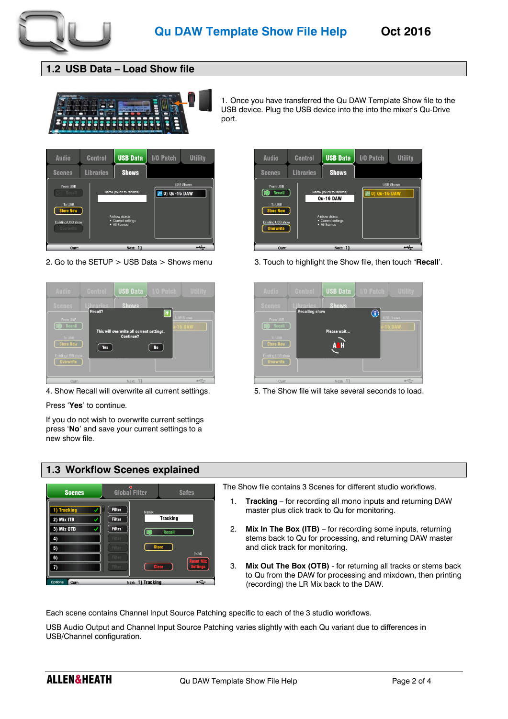

### **1.2 USB Data – Load Show file**



1. Once you have transferred the Qu DAW Template Show file to the USB device. Plug the USB device into the into the mixer's Qu-Drive port.





Press '**Yes**' to continue.

If you do not wish to overwrite current settings press '**No**' and save your current settings to a new show file.



2. Go to the SETUP > USB Data > Shows menu 3. Touch to highlight the Show file, then touch **'Recall**'.



4. Show Recall will overwrite all current settings. 5. The Show file will take several seconds to load.

#### **1.3 Workflow Scenes explained**



The Show file contains 3 Scenes for different studio workflows.

- 1. **Tracking** for recording all mono inputs and returning DAW master plus click track to Qu for monitoring.
- 2. **Mix In The Box (ITB)** for recording some inputs, returning stems back to Qu for processing, and returning DAW master and click track for monitoring.
- 3. **Mix Out The Box (OTB)** for returning all tracks or stems back to Qu from the DAW for processing and mixdown, then printing (recording) the LR Mix back to the DAW.

Each scene contains Channel Input Source Patching specific to each of the 3 studio workflows.

USB Audio Output and Channel Input Source Patching varies slightly with each Qu variant due to differences in USB/Channel configuration.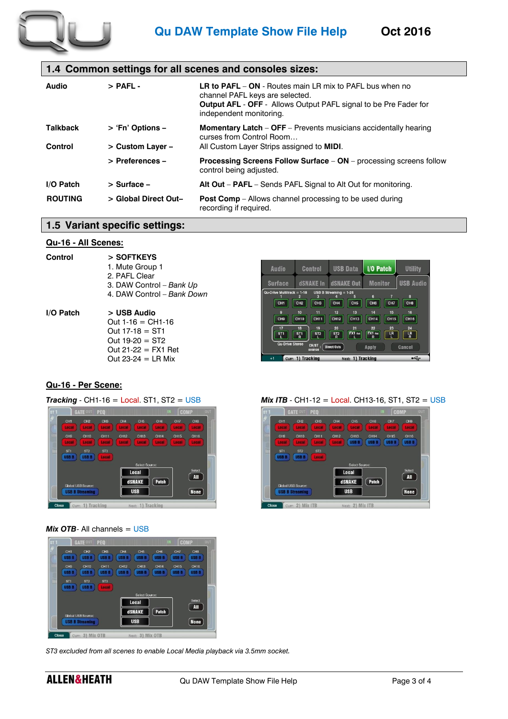

### **1.4 Common settings for all scenes and consoles sizes:**

| Audio           | $>$ PAFL -           | <b>LR to PAFL – ON - Routes main LR mix to PAFL bus when no</b><br>channel PAFL keys are selected.<br><b>Output AFL - OFF - Allows Output PAFL signal to be Pre Fader for</b><br>independent monitoring. |
|-----------------|----------------------|----------------------------------------------------------------------------------------------------------------------------------------------------------------------------------------------------------|
| <b>Talkback</b> | > 'Fn' Options -     | <b>Momentary Latch – OFF – Prevents musicians accidentally hearing</b><br>curses from Control Room                                                                                                       |
| Control         | > Custom Layer -     | All Custom Layer Strips assigned to <b>MIDI</b> .                                                                                                                                                        |
|                 | > Preferences -      | <b>Processing Screens Follow Surface - ON - processing screens follow</b><br>control being adjusted.                                                                                                     |
| I/O Patch       | > Surface -          | Alt Out – PAFL – Sends PAFL Signal to Alt Out for monitoring.                                                                                                                                            |
| <b>ROUTING</b>  | > Global Direct Out- | <b>Post Comp</b> – Allows channel processing to be used during<br>recording if required.                                                                                                                 |

**Audio** 

**Control** 

 $CH11$ 

CH12

 $Local$ 

dSNAKE

**USB** 

 $CH9$ 

USB B USB B

 $22116$ 

Curr: 2) Mix ITB

USB B

### **1.5 Variant specific settings:**

#### **Qu-16 - All Scenes:**

| Control   | > SOFTKEYS<br>1. Mute Group 1<br>2. PAFL Clear<br>3. DAW Control - Bank Up<br>4. DAW Control - Bank Down                      |
|-----------|-------------------------------------------------------------------------------------------------------------------------------|
| I/O Patch | > USB Audio<br>Out $1-16 = CH1-16$<br>Out $17-18 = ST1$<br>Out $19-20 = ST2$<br>Out $21-22 = FX1$ Ret<br>Out $23-24 = LR$ Mix |

#### **USB Audio dSNAKE In dSNAKE Out Monitor Surface**  $\frac{\text{ack}}{2} = \frac{1-18}{3}$  USB B Streaming = 1-24<br>2 3 4 CHI CH2 CH3 CH4 CH5 CH6 CH7 CH8 CH14 CH15 CH16 CH9 CH10 CH11 CH12 CH13  $\frac{1}{5}$  $\overline{\text{sgn}}$  $\sqrt{4R}$  $S<sub>1</sub>$  $CH/ST$  :  $\boxed{Dir}$ Anniv Curr: 1) Tracking Next: 1) Tracking

 $CH6$ 

USB B USB B USB B

 $\bigcap$  (Patch)

2) Mix ITE

I/O Patch

Utility

CH<sub>16</sub><br>USB B

 $\sqrt{AII}$ 

**None** 

**USB Data** 

#### **Qu-16 - Per Scene:**

#### *Tracking -* CH1-16 = Local. ST1, ST2 = USB *Mix ITB -* CH1-12 = Local. CH13-16, ST1, ST2 = USB



### *Mix OTB*<sup>-</sup> All channels = USB

| sr <sub>1</sub> |                                 | <b>GATE OUT</b>                 | PEO                             |                     |                                 | IN                              | <b>COMP</b>         |                                 | <b>OUT</b> |
|-----------------|---------------------------------|---------------------------------|---------------------------------|---------------------|---------------------------------|---------------------------------|---------------------|---------------------------------|------------|
| Ø               | CH <sub>1</sub><br><b>USB B</b> | CH <sub>2</sub><br><b>USB B</b> | CH <sub>3</sub><br><b>USB B</b> | CH4<br><b>USB B</b> | CH <sub>5</sub><br><b>USB B</b> | CH <sub>6</sub><br><b>USB B</b> | CH7<br><b>USB B</b> | CH <sub>8</sub><br><b>USB B</b> |            |
|                 | CH <sub>9</sub>                 | <b>CH10</b>                     | <b>CH11</b>                     | CH12                | <b>CH13</b>                     | CH14                            | <b>CH15</b>         | CH <sub>16</sub>                |            |
| l<br>In         | <b>USB B</b><br>ST <sub>1</sub> | <b>USB B</b><br>ST <sub>2</sub> | <b>USB B</b><br>ST <sub>3</sub> | <b>USB B</b>        | <b>USB B</b>                    | <b>USB B</b>                    | <b>USB B</b>        | <b>USB B</b>                    |            |
|                 | <b>USB B</b>                    | <b>USB B</b>                    | Local                           |                     |                                 |                                 |                     |                                 |            |
|                 |                                 |                                 |                                 |                     | Select Source:<br>Local         |                                 |                     | Select                          |            |
|                 |                                 | <b>Global USB Source:</b>       |                                 |                     | <b>dSNAKE</b>                   | Patch                           |                     | <b>All</b>                      |            |
|                 |                                 | <b>USB B Streaming</b>          |                                 |                     | <b>USB</b>                      |                                 |                     | <b>None</b>                     |            |
| <b>Close</b>    |                                 | Curr: 3                         | Mix OTB                         |                     | $\mathbf{3}$<br>Next:           | Mix OTB                         |                     |                                 |            |

*ST3 excluded from all scenes to enable Local Media playback via 3.5mm socket.*